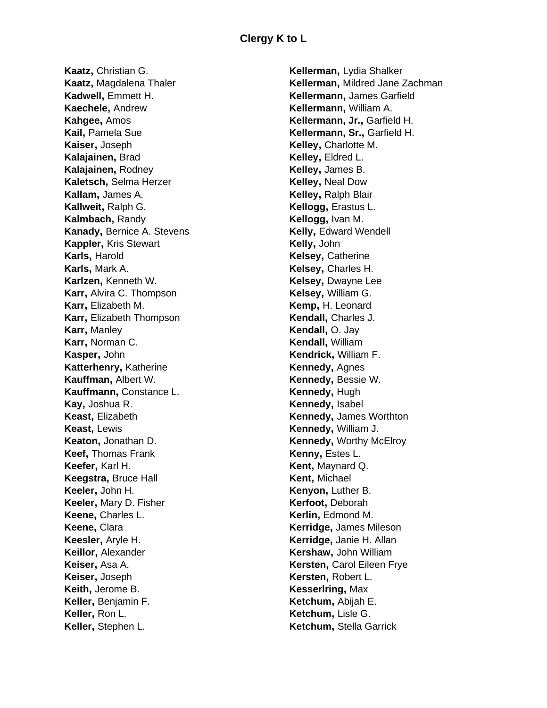**Kaatz,** Christian G. **Kaatz,** Magdalena Thaler **Kadwell,** Emmett H. **Kaechele,** Andrew **Kahgee,** Amos **Kail,** Pamela Sue **Kaiser,** Joseph **Kalajainen,** Brad **Kalajainen,** Rodney **Kaletsch,** Selma Herzer **Kallam,** James A. **Kallweit,** Ralph G. **Kalmbach,** Randy **Kanady,** Bernice A. Stevens **Kappler,** Kris Stewart **Karls,** Harold **Karls,** Mark A. **Karlzen,** Kenneth W. **Karr,** Alvira C. Thompson **Karr,** Elizabeth M. **Karr,** Elizabeth Thompson **Karr,** Manley **Karr,** Norman C. **Kasper,** John **Katterhenry,** Katherine **Kauffman,** Albert W. **Kauffmann,** Constance L. **Kay,** Joshua R. **Keast,** Elizabeth **Keast,** Lewis **Keaton,** Jonathan D. **Keef,** Thomas Frank **Keefer,** Karl H. **Keegstra,** Bruce Hall **Keeler,** John H. **Keeler,** Mary D. Fisher **Keene,** Charles L. **Keene,** Clara **Keesler,** Aryle H. **Keillor,** Alexander **Keiser,** Asa A. **Keiser,** Joseph **Keith,** Jerome B. **Keller,** Benjamin F. **Keller,** Ron L. **Keller,** Stephen L.

**Kellerman,** Lydia Shalker **Kellerman,** Mildred Jane Zachman **Kellermann,** James Garfield **Kellermann,** William A. **Kellermann, Jr.,** Garfield H. **Kellermann, Sr.,** Garfield H. **Kelley,** Charlotte M. **Kelley,** Eldred L. **Kelley,** James B. **Kelley,** Neal Dow **Kelley,** Ralph Blair **Kellogg,** Erastus L. **Kellogg,** Ivan M. **Kelly,** Edward Wendell **Kelly,** John **Kelsey,** Catherine **Kelsey,** Charles H. **Kelsey,** Dwayne Lee **Kelsey,** William G. **Kemp,** H. Leonard **Kendall,** Charles J. **Kendall,** O. Jay **Kendall,** William **Kendrick,** William F. **Kennedy,** Agnes **Kennedy,** Bessie W. **Kennedy,** Hugh **Kennedy,** Isabel **Kennedy,** James Worthton **Kennedy,** William J. **Kennedy,** Worthy McElroy **Kenny,** Estes L. **Kent,** Maynard Q. **Kent,** Michael **Kenyon,** Luther B. **Kerfoot,** Deborah **Kerlin,** Edmond M. **Kerridge,** James Mileson **Kerridge,** Janie H. Allan **Kershaw,** John William **Kersten,** Carol Eileen Frye **Kersten,** Robert L. **Kesserlring,** Max **Ketchum,** Abijah E. **Ketchum,** Lisle G. **Ketchum,** Stella Garrick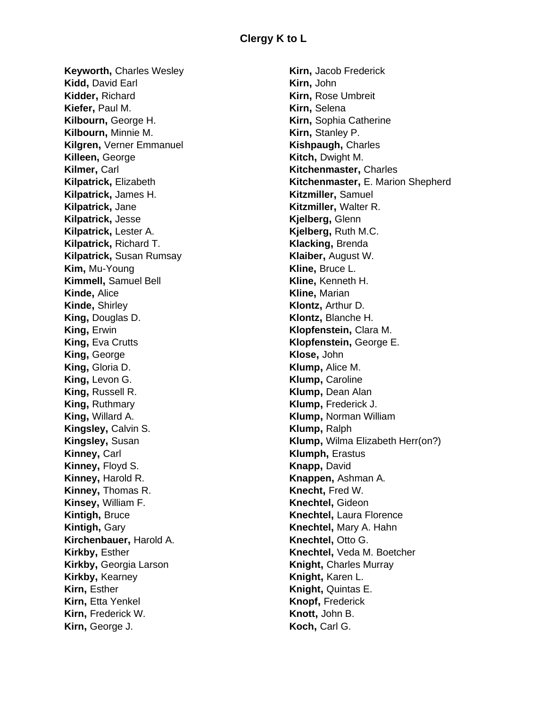**Keyworth, Charles Wesley Kidd,** David Earl **Kidder,** Richard **Kiefer,** Paul M. **Kilbourn,** George H. **Kilbourn,** Minnie M. **Kilgren,** Verner Emmanuel **Killeen,** George **Kilmer,** Carl **Kilpatrick,** Elizabeth **Kilpatrick,** James H. **Kilpatrick,** Jane **Kilpatrick,** Jesse **Kilpatrick,** Lester A. **Kilpatrick,** Richard T. **Kilpatrick,** Susan Rumsay **Kim,** Mu-Young **Kimmell,** Samuel Bell **Kinde,** Alice **Kinde,** Shirley **King,** Douglas D. **King,** Erwin **King,** Eva Crutts **King,** George **King,** Gloria D. **King,** Levon G. **King, Russell R. King,** Ruthmary **King,** Willard A. **Kingsley,** Calvin S. **Kingsley,** Susan **Kinney,** Carl **Kinney,** Floyd S. **Kinney,** Harold R. **Kinney,** Thomas R. **Kinsey,** William F. **Kintigh,** Bruce **Kintigh,** Gary **Kirchenbauer,** Harold A. **Kirkby,** Esther **Kirkby,** Georgia Larson **Kirkby,** Kearney **Kirn,** Esther **Kirn, Etta Yenkel Kirn,** Frederick W. **Kirn,** George J.

**Kirn,** Jacob Frederick **Kirn,** John **Kirn,** Rose Umbreit **Kirn,** Selena **Kirn,** Sophia Catherine **Kirn,** Stanley P. **Kishpaugh,** Charles **Kitch,** Dwight M. **Kitchenmaster,** Charles **Kitchenmaster,** E. Marion Shepherd **Kitzmiller,** Samuel **Kitzmiller,** Walter R. **Kjelberg,** Glenn **Kjelberg,** Ruth M.C. **Klacking,** Brenda **Klaiber,** August W. **Kline,** Bruce L. **Kline,** Kenneth H. **Kline,** Marian **Klontz,** Arthur D. **Klontz,** Blanche H. **Klopfenstein,** Clara M. **Klopfenstein,** George E. **Klose,** John **Klump,** Alice M. **Klump,** Caroline **Klump,** Dean Alan **Klump,** Frederick J. **Klump,** Norman William **Klump,** Ralph **Klump,** Wilma Elizabeth Herr(on?) **Klumph,** Erastus **Knapp,** David **Knappen,** Ashman A. **Knecht,** Fred W. **Knechtel,** Gideon **Knechtel,** Laura Florence **Knechtel,** Mary A. Hahn **Knechtel,** Otto G. **Knechtel,** Veda M. Boetcher **Knight,** Charles Murray **Knight,** Karen L. **Knight,** Quintas E. **Knopf,** Frederick **Knott,** John B. **Koch,** Carl G.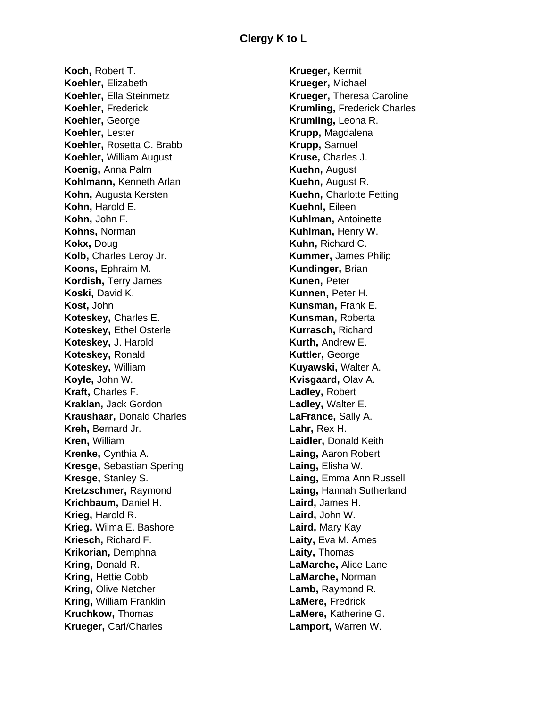**Koch,** Robert T. **Koehler,** Elizabeth **Koehler,** Ella Steinmetz **Koehler,** Frederick **Koehler,** George **Koehler,** Lester **Koehler,** Rosetta C. Brabb **Koehler,** William August **Koenig,** Anna Palm **Kohlmann,** Kenneth Arlan **Kohn,** Augusta Kersten **Kohn,** Harold E. **Kohn,** John F. **Kohns,** Norman **Kokx,** Doug **Kolb,** Charles Leroy Jr. **Koons,** Ephraim M. **Kordish,** Terry James **Koski,** David K. **Kost,** John **Koteskey,** Charles E. **Koteskey,** Ethel Osterle **Koteskey,** J. Harold **Koteskey,** Ronald **Koteskey,** William **Koyle,** John W. **Kraft,** Charles F. **Kraklan,** Jack Gordon **Kraushaar,** Donald Charles **Kreh,** Bernard Jr. **Kren,** William **Krenke,** Cynthia A. **Kresge,** Sebastian Spering **Kresge,** Stanley S. **Kretzschmer,** Raymond **Krichbaum,** Daniel H. **Krieg,** Harold R. **Krieg,** Wilma E. Bashore **Kriesch,** Richard F. **Krikorian,** Demphna **Kring,** Donald R. **Kring,** Hettie Cobb **Kring,** Olive Netcher **Kring,** William Franklin **Kruchkow,** Thomas **Krueger,** Carl/Charles

**Krueger,** Kermit **Krueger,** Michael **Krueger,** Theresa Caroline **Krumling,** Frederick Charles **Krumling,** Leona R. **Krupp,** Magdalena **Krupp,** Samuel **Kruse,** Charles J. **Kuehn,** August **Kuehn,** August R. **Kuehn,** Charlotte Fetting **Kuehnl,** Eileen **Kuhlman,** Antoinette **Kuhlman,** Henry W. **Kuhn,** Richard C. **Kummer,** James Philip **Kundinger,** Brian **Kunen,** Peter **Kunnen,** Peter H. **Kunsman,** Frank E. **Kunsman,** Roberta **Kurrasch,** Richard **Kurth,** Andrew E. **Kuttler,** George **Kuyawski,** Walter A. **Kvisgaard,** Olav A. **Ladley,** Robert **Ladley,** Walter E. **LaFrance,** Sally A. **Lahr,** Rex H. **Laidler,** Donald Keith **Laing,** Aaron Robert **Laing,** Elisha W. **Laing,** Emma Ann Russell **Laing,** Hannah Sutherland **Laird,** James H. **Laird,** John W. **Laird,** Mary Kay **Laity,** Eva M. Ames **Laity,** Thomas **LaMarche,** Alice Lane **LaMarche,** Norman **Lamb,** Raymond R. **LaMere,** Fredrick **LaMere,** Katherine G. **Lamport,** Warren W.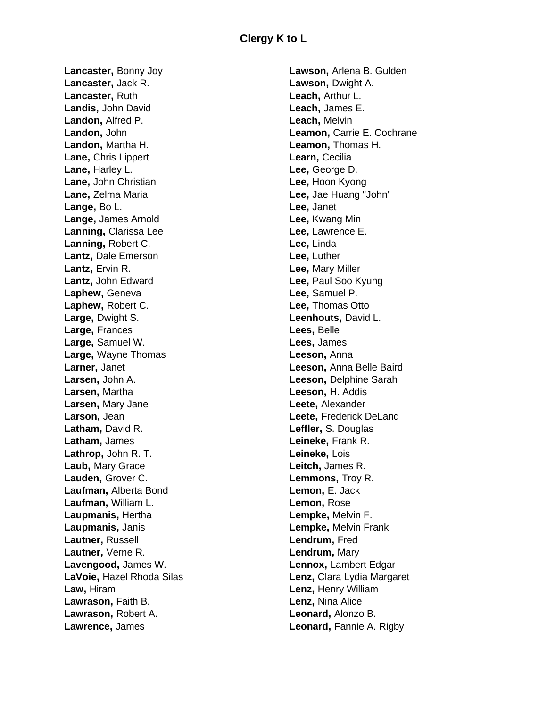**Lancaster,** Bonny Joy **Lancaster,** Jack R. **Lancaster,** Ruth **Landis,** John David **Landon,** Alfred P. **Landon,** John **Landon,** Martha H. **Lane,** Chris Lippert **Lane,** Harley L. **Lane,** John Christian **Lane,** Zelma Maria **Lange,** Bo L. **Lange,** James Arnold **Lanning,** Clarissa Lee **Lanning,** Robert C. **Lantz,** Dale Emerson **Lantz,** Ervin R. **Lantz,** John Edward **Laphew,** Geneva **Laphew,** Robert C. **Large,** Dwight S. **Large,** Frances **Large,** Samuel W. **Large,** Wayne Thomas **Larner,** Janet **Larsen,** John A. **Larsen,** Martha **Larsen,** Mary Jane **Larson,** Jean **Latham,** David R. **Latham,** James **Lathrop,** John R. T. **Laub,** Mary Grace **Lauden,** Grover C. **Laufman,** Alberta Bond **Laufman,** William L. **Laupmanis,** Hertha **Laupmanis,** Janis **Lautner,** Russell **Lautner,** Verne R. **Lavengood,** James W. **LaVoie,** Hazel Rhoda Silas **Law,** Hiram **Lawrason,** Faith B. **Lawrason,** Robert A. **Lawrence,** James

**Lawson,** Arlena B. Gulden **Lawson,** Dwight A. **Leach,** Arthur L. **Leach,** James E. **Leach,** Melvin **Leamon,** Carrie E. Cochrane **Leamon,** Thomas H. **Learn,** Cecilia **Lee,** George D. **Lee,** Hoon Kyong **Lee,** Jae Huang "John" **Lee,** Janet **Lee,** Kwang Min **Lee,** Lawrence E. **Lee,** Linda **Lee,** Luther **Lee,** Mary Miller **Lee,** Paul Soo Kyung **Lee,** Samuel P. **Lee,** Thomas Otto **Leenhouts,** David L. **Lees,** Belle **Lees,** James **Leeson,** Anna **Leeson,** Anna Belle Baird **Leeson,** Delphine Sarah **Leeson,** H. Addis **Leete,** Alexander **Leete,** Frederick DeLand **Leffler,** S. Douglas **Leineke,** Frank R. **Leineke,** Lois **Leitch,** James R. **Lemmons,** Troy R. **Lemon,** E. Jack **Lemon,** Rose **Lempke,** Melvin F. **Lempke,** Melvin Frank **Lendrum,** Fred **Lendrum,** Mary **Lennox,** Lambert Edgar **Lenz,** Clara Lydia Margaret **Lenz,** Henry William **Lenz,** Nina Alice **Leonard,** Alonzo B. **Leonard,** Fannie A. Rigby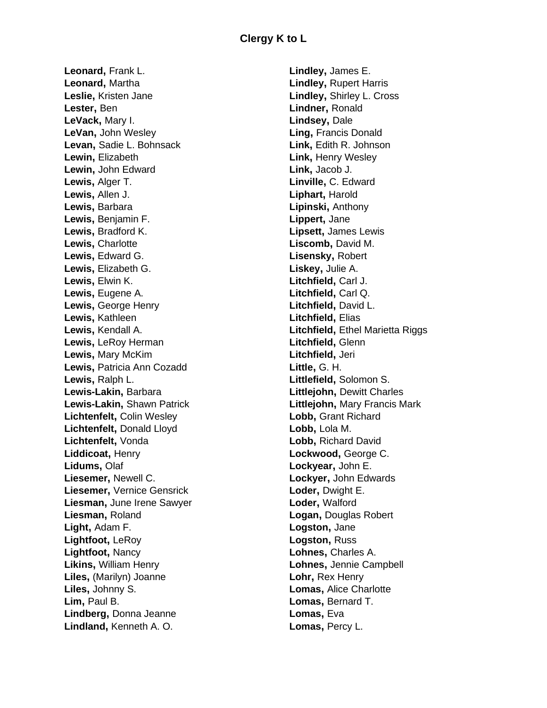**Leonard,** Frank L. **Leonard,** Martha **Leslie,** Kristen Jane **Lester,** Ben **LeVack,** Mary I. **LeVan,** John Wesley **Levan,** Sadie L. Bohnsack **Lewin,** Elizabeth **Lewin,** John Edward **Lewis,** Alger T. **Lewis,** Allen J. **Lewis,** Barbara **Lewis,** Benjamin F. **Lewis,** Bradford K. **Lewis,** Charlotte **Lewis,** Edward G. **Lewis,** Elizabeth G. **Lewis,** Elwin K. **Lewis,** Eugene A. **Lewis,** George Henry **Lewis,** Kathleen **Lewis,** Kendall A. **Lewis,** LeRoy Herman **Lewis,** Mary McKim **Lewis,** Patricia Ann Cozadd **Lewis,** Ralph L. **Lewis-Lakin,** Barbara **Lewis-Lakin,** Shawn Patrick **Lichtenfelt,** Colin Wesley **Lichtenfelt,** Donald Lloyd **Lichtenfelt,** Vonda **Liddicoat,** Henry **Lidums,** Olaf **Liesemer,** Newell C. **Liesemer,** Vernice Gensrick **Liesman,** June Irene Sawyer **Liesman,** Roland **Light,** Adam F. **Lightfoot,** LeRoy **Lightfoot,** Nancy **Likins,** William Henry **Liles,** (Marilyn) Joanne **Liles,** Johnny S. **Lim,** Paul B. **Lindberg,** Donna Jeanne **Lindland,** Kenneth A. O.

**Lindley,** James E. **Lindley,** Rupert Harris **Lindley,** Shirley L. Cross **Lindner,** Ronald **Lindsey,** Dale **Ling,** Francis Donald **Link,** Edith R. Johnson **Link,** Henry Wesley **Link,** Jacob J. **Linville,** C. Edward **Liphart,** Harold **Lipinski,** Anthony **Lippert,** Jane **Lipsett,** James Lewis **Liscomb,** David M. **Lisensky,** Robert **Liskey,** Julie A. **Litchfield,** Carl J. **Litchfield,** Carl Q. **Litchfield,** David L. **Litchfield,** Elias **Litchfield,** Ethel Marietta Riggs **Litchfield,** Glenn **Litchfield,** Jeri **Little,** G. H. **Littlefield,** Solomon S. **Littlejohn,** Dewitt Charles **Littlejohn,** Mary Francis Mark **Lobb,** Grant Richard **Lobb,** Lola M. **Lobb,** Richard David **Lockwood,** George C. **Lockyear,** John E. **Lockyer,** John Edwards **Loder,** Dwight E. **Loder,** Walford **Logan,** Douglas Robert **Logston,** Jane **Logston,** Russ **Lohnes,** Charles A. **Lohnes,** Jennie Campbell **Lohr,** Rex Henry **Lomas,** Alice Charlotte **Lomas,** Bernard T. **Lomas,** Eva **Lomas,** Percy L.